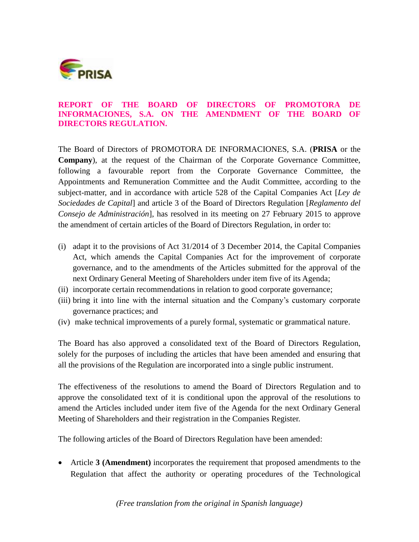

### **REPORT OF THE BOARD OF DIRECTORS OF PROMOTORA DE INFORMACIONES, S.A. ON THE AMENDMENT OF THE BOARD OF DIRECTORS REGULATION.**

The Board of Directors of PROMOTORA DE INFORMACIONES, S.A. (**PRISA** or the **Company**), at the request of the Chairman of the Corporate Governance Committee, following a favourable report from the Corporate Governance Committee, the Appointments and Remuneration Committee and the Audit Committee, according to the subject-matter, and in accordance with article 528 of the Capital Companies Act [*Ley de Sociedades de Capital*] and article 3 of the Board of Directors Regulation [*Reglamento del Consejo de Administración*], has resolved in its meeting on 27 February 2015 to approve the amendment of certain articles of the Board of Directors Regulation, in order to:

- (i) adapt it to the provisions of Act 31/2014 of 3 December 2014, the Capital Companies Act, which amends the Capital Companies Act for the improvement of corporate governance, and to the amendments of the Articles submitted for the approval of the next Ordinary General Meeting of Shareholders under item five of its Agenda;
- (ii) incorporate certain recommendations in relation to good corporate governance;
- (iii) bring it into line with the internal situation and the Company's customary corporate governance practices; and
- (iv) make technical improvements of a purely formal, systematic or grammatical nature.

The Board has also approved a consolidated text of the Board of Directors Regulation, solely for the purposes of including the articles that have been amended and ensuring that all the provisions of the Regulation are incorporated into a single public instrument.

The effectiveness of the resolutions to amend the Board of Directors Regulation and to approve the consolidated text of it is conditional upon the approval of the resolutions to amend the Articles included under item five of the Agenda for the next Ordinary General Meeting of Shareholders and their registration in the Companies Register.

The following articles of the Board of Directors Regulation have been amended:

 Article **3 (Amendment)** incorporates the requirement that proposed amendments to the Regulation that affect the authority or operating procedures of the Technological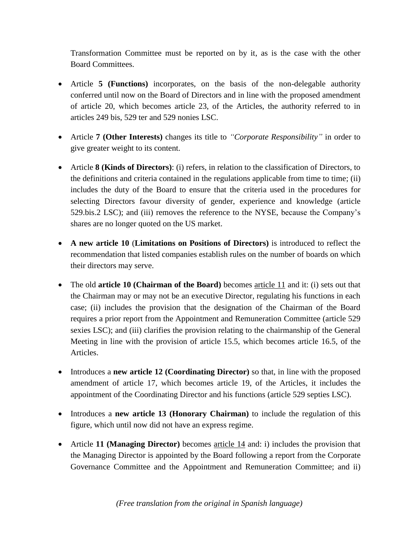Transformation Committee must be reported on by it, as is the case with the other Board Committees.

- Article **5 (Functions)** incorporates, on the basis of the non-delegable authority conferred until now on the Board of Directors and in line with the proposed amendment of article 20, which becomes article 23, of the Articles, the authority referred to in articles 249 bis, 529 ter and 529 nonies LSC.
- Article **7 (Other Interests)** changes its title to *"Corporate Responsibility"* in order to give greater weight to its content.
- Article **8 (Kinds of Directors)**: (i) refers, in relation to the classification of Directors, to the definitions and criteria contained in the regulations applicable from time to time; (ii) includes the duty of the Board to ensure that the criteria used in the procedures for selecting Directors favour diversity of gender, experience and knowledge (article 529.bis.2 LSC); and (iii) removes the reference to the NYSE, because the Company's shares are no longer quoted on the US market.
- **A new article 10** (**Limitations on Positions of Directors)** is introduced to reflect the recommendation that listed companies establish rules on the number of boards on which their directors may serve.
- The old **article 10 (Chairman of the Board)** becomes article 11 and it: (i) sets out that the Chairman may or may not be an executive Director, regulating his functions in each case; (ii) includes the provision that the designation of the Chairman of the Board requires a prior report from the Appointment and Remuneration Committee (article 529 sexies LSC); and (iii) clarifies the provision relating to the chairmanship of the General Meeting in line with the provision of article 15.5, which becomes article 16.5, of the Articles.
- Introduces a **new article 12 (Coordinating Director)** so that, in line with the proposed amendment of article 17, which becomes article 19, of the Articles, it includes the appointment of the Coordinating Director and his functions (article 529 septies LSC).
- Introduces a **new article 13 (Honorary Chairman)** to include the regulation of this figure, which until now did not have an express regime.
- Article **11 (Managing Director)** becomes article 14 and: i) includes the provision that the Managing Director is appointed by the Board following a report from the Corporate Governance Committee and the Appointment and Remuneration Committee; and ii)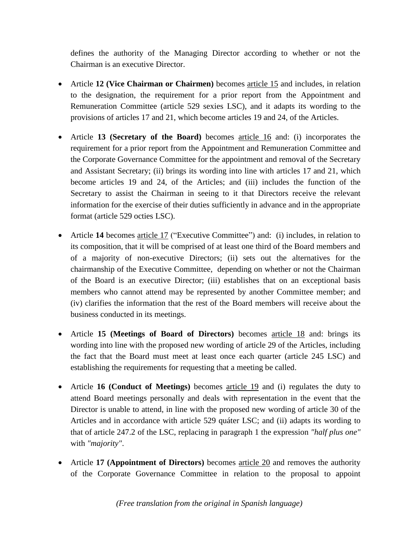defines the authority of the Managing Director according to whether or not the Chairman is an executive Director.

- Article **12 (Vice Chairman or Chairmen)** becomes article 15 and includes, in relation to the designation, the requirement for a prior report from the Appointment and Remuneration Committee (article 529 sexies LSC), and it adapts its wording to the provisions of articles 17 and 21, which become articles 19 and 24, of the Articles.
- Article **13 (Secretary of the Board)** becomes article 16 and: (i) incorporates the requirement for a prior report from the Appointment and Remuneration Committee and the Corporate Governance Committee for the appointment and removal of the Secretary and Assistant Secretary; (ii) brings its wording into line with articles 17 and 21, which become articles 19 and 24, of the Articles; and (iii) includes the function of the Secretary to assist the Chairman in seeing to it that Directors receive the relevant information for the exercise of their duties sufficiently in advance and in the appropriate format (article 529 octies LSC).
- Article 14 becomes article 17 ("Executive Committee") and: (i) includes, in relation to its composition, that it will be comprised of at least one third of the Board members and of a majority of non-executive Directors; (ii) sets out the alternatives for the chairmanship of the Executive Committee, depending on whether or not the Chairman of the Board is an executive Director; (iii) establishes that on an exceptional basis members who cannot attend may be represented by another Committee member; and (iv) clarifies the information that the rest of the Board members will receive about the business conducted in its meetings.
- Article **15 (Meetings of Board of Directors)** becomes article 18 and: brings its wording into line with the proposed new wording of article 29 of the Articles, including the fact that the Board must meet at least once each quarter (article 245 LSC) and establishing the requirements for requesting that a meeting be called.
- Article **16 (Conduct of Meetings)** becomes article 19 and (i) regulates the duty to attend Board meetings personally and deals with representation in the event that the Director is unable to attend, in line with the proposed new wording of article 30 of the Articles and in accordance with article 529 quáter LSC; and (ii) adapts its wording to that of article 247.2 of the LSC, replacing in paragraph 1 the expression *"half plus one"* with *"majority"*.
- Article 17 (Appointment of Directors) becomes <u>article 20</u> and removes the authority of the Corporate Governance Committee in relation to the proposal to appoint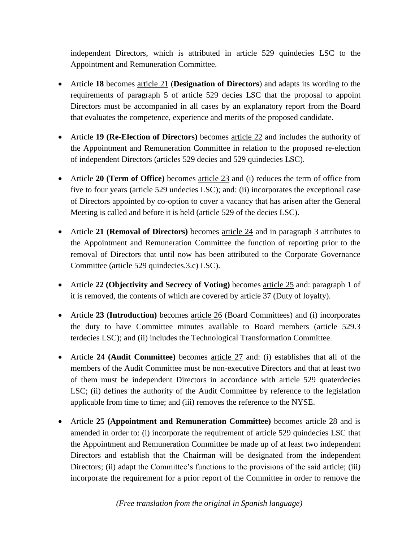independent Directors, which is attributed in article 529 quindecies LSC to the Appointment and Remuneration Committee.

- Article **18** becomes article 21 (**Designation of Directors**) and adapts its wording to the requirements of paragraph 5 of article 529 decies LSC that the proposal to appoint Directors must be accompanied in all cases by an explanatory report from the Board that evaluates the competence, experience and merits of the proposed candidate.
- Article **19 (Re-Election of Directors)** becomes article 22 and includes the authority of the Appointment and Remuneration Committee in relation to the proposed re-election of independent Directors (articles 529 decies and 529 quindecies LSC).
- Article **20 (Term of Office)** becomes article 23 and (i) reduces the term of office from five to four years (article 529 undecies LSC); and: (ii) incorporates the exceptional case of Directors appointed by co-option to cover a vacancy that has arisen after the General Meeting is called and before it is held (article 529 of the decies LSC).
- Article **21 (Removal of Directors)** becomes article 24 and in paragraph 3 attributes to the Appointment and Remuneration Committee the function of reporting prior to the removal of Directors that until now has been attributed to the Corporate Governance Committee (article 529 quindecies.3.c) LSC).
- Article **22 (Objectivity and Secrecy of Voting)** becomes article 25 and: paragraph 1 of it is removed, the contents of which are covered by article 37 (Duty of loyalty).
- Article **23 (Introduction)** becomes article 26 (Board Committees) and (i) incorporates the duty to have Committee minutes available to Board members (article 529.3 terdecies LSC); and (ii) includes the Technological Transformation Committee.
- Article **24 (Audit Committee)** becomes article 27 and: (i) establishes that all of the members of the Audit Committee must be non-executive Directors and that at least two of them must be independent Directors in accordance with article 529 quaterdecies LSC; (ii) defines the authority of the Audit Committee by reference to the legislation applicable from time to time; and (iii) removes the reference to the NYSE.
- Article **25 (Appointment and Remuneration Committee)** becomes article 28 and is amended in order to: (i) incorporate the requirement of article 529 quindecies LSC that the Appointment and Remuneration Committee be made up of at least two independent Directors and establish that the Chairman will be designated from the independent Directors; (ii) adapt the Committee's functions to the provisions of the said article; (iii) incorporate the requirement for a prior report of the Committee in order to remove the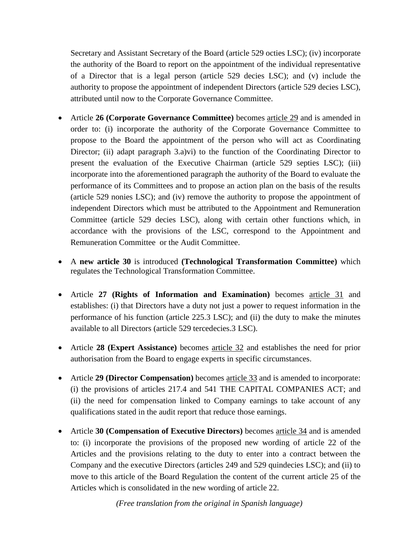Secretary and Assistant Secretary of the Board (article 529 octies LSC); (iv) incorporate the authority of the Board to report on the appointment of the individual representative of a Director that is a legal person (article 529 decies LSC); and (v) include the authority to propose the appointment of independent Directors (article 529 decies LSC), attributed until now to the Corporate Governance Committee.

- Article **26 (Corporate Governance Committee)** becomes article 29 and is amended in order to: (i) incorporate the authority of the Corporate Governance Committee to propose to the Board the appointment of the person who will act as Coordinating Director; (ii) adapt paragraph 3.a)vi) to the function of the Coordinating Director to present the evaluation of the Executive Chairman (article 529 septies LSC); (iii) incorporate into the aforementioned paragraph the authority of the Board to evaluate the performance of its Committees and to propose an action plan on the basis of the results (article 529 nonies LSC); and (iv) remove the authority to propose the appointment of independent Directors which must be attributed to the Appointment and Remuneration Committee (article 529 decies LSC), along with certain other functions which, in accordance with the provisions of the LSC, correspond to the Appointment and Remuneration Committee or the Audit Committee.
- A **new article 30** is introduced **(Technological Transformation Committee)** which regulates the Technological Transformation Committee.
- Article **27 (Rights of Information and Examination)** becomes article 31 and establishes: (i) that Directors have a duty not just a power to request information in the performance of his function (article 225.3 LSC); and (ii) the duty to make the minutes available to all Directors (article 529 tercedecies.3 LSC).
- Article **28 (Expert Assistance)** becomes article 32 and establishes the need for prior authorisation from the Board to engage experts in specific circumstances.
- Article **29 (Director Compensation)** becomes article 33 and is amended to incorporate: (i) the provisions of articles 217.4 and 541 THE CAPITAL COMPANIES ACT; and (ii) the need for compensation linked to Company earnings to take account of any qualifications stated in the audit report that reduce those earnings.
- Article **30 (Compensation of Executive Directors)** becomes article 34 and is amended to: (i) incorporate the provisions of the proposed new wording of article 22 of the Articles and the provisions relating to the duty to enter into a contract between the Company and the executive Directors (articles 249 and 529 quindecies LSC); and (ii) to move to this article of the Board Regulation the content of the current article 25 of the Articles which is consolidated in the new wording of article 22.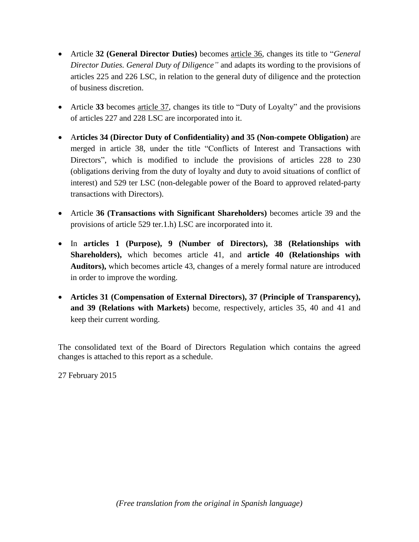- Article **32 (General Director Duties)** becomes article 36, changes its title to "*General Director Duties. General Duty of Diligence"* and adapts its wording to the provisions of articles 225 and 226 LSC, in relation to the general duty of diligence and the protection of business discretion.
- Article **33** becomes article 37, changes its title to "Duty of Loyalty" and the provisions of articles 227 and 228 LSC are incorporated into it.
- A**rticles 34 (Director Duty of Confidentiality) and 35 (Non-compete Obligation)** are merged in article 38, under the title "Conflicts of Interest and Transactions with Directors", which is modified to include the provisions of articles 228 to 230 (obligations deriving from the duty of loyalty and duty to avoid situations of conflict of interest) and 529 ter LSC (non-delegable power of the Board to approved related-party transactions with Directors).
- Article **36 (Transactions with Significant Shareholders)** becomes article 39 and the provisions of article 529 ter.1.h) LSC are incorporated into it.
- In **articles 1 (Purpose), 9 (Number of Directors), 38 (Relationships with Shareholders),** which becomes article 41, and **article 40 (Relationships with Auditors),** which becomes article 43, changes of a merely formal nature are introduced in order to improve the wording.
- **Articles 31 (Compensation of External Directors), 37 (Principle of Transparency), and 39 (Relations with Markets)** become, respectively, articles 35, 40 and 41 and keep their current wording.

The consolidated text of the Board of Directors Regulation which contains the agreed changes is attached to this report as a schedule.

27 February 2015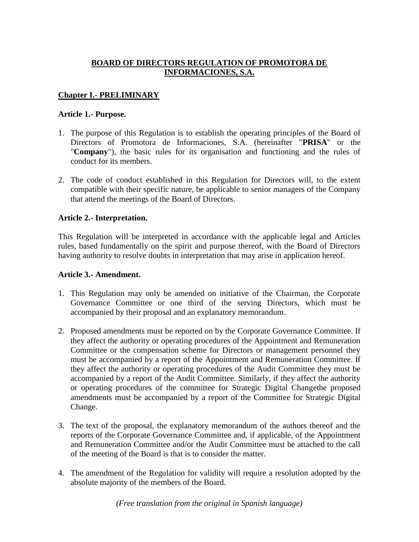## **BOARD OF DIRECTORS REGULATION OF PROMOTORA DE INFORMACIONES, S.A.**

## **Chapter I.- PRELIMINARY**

### **Article 1.- Purpose.**

- 1. The purpose of this Regulation is to establish the operating principles of the Board of Directors of Promotora de Informaciones, S.A. (hereinafter "**PRISA**" or the "**Company**"), the basic rules for its organisation and functioning and the rules of conduct for its members.
- 2. The code of conduct established in this Regulation for Directors will, to the extent compatible with their specific nature, be applicable to senior managers of the Company that attend the meetings of the Board of Directors.

## **Article 2.- Interpretation.**

This Regulation will be interpreted in accordance with the applicable legal and Articles rules, based fundamentally on the spirit and purpose thereof, with the Board of Directors having authority to resolve doubts in interpretation that may arise in application hereof.

#### **Article 3.- Amendment.**

- 1. This Regulation may only be amended on initiative of the Chairman, the Corporate Governance Committee or one third of the serving Directors, which must be accompanied by their proposal and an explanatory memorandum.
- 2. Proposed amendments must be reported on by the Corporate Governance Committee. If they affect the authority or operating procedures of the Appointment and Remuneration Committee or the compensation scheme for Directors or management personnel they must be accompanied by a report of the Appointment and Remuneration Committee. If they affect the authority or operating procedures of the Audit Committee they must be accompanied by a report of the Audit Committee. Similarly, if they affect the authority or operating procedures of the committee for Strategic Digital Changethe proposed amendments must be accompanied by a report of the Committee for Strategic Digital Change.
- 3. The text of the proposal, the explanatory memorandum of the authors thereof and the reports of the Corporate Governance Committee and, if applicable, of the Appointment and Remuneration Committee and/or the Audit Committee must be attached to the call of the meeting of the Board is that is to consider the matter.
- 4. The amendment of the Regulation for validity will require a resolution adopted by the absolute majority of the members of the Board.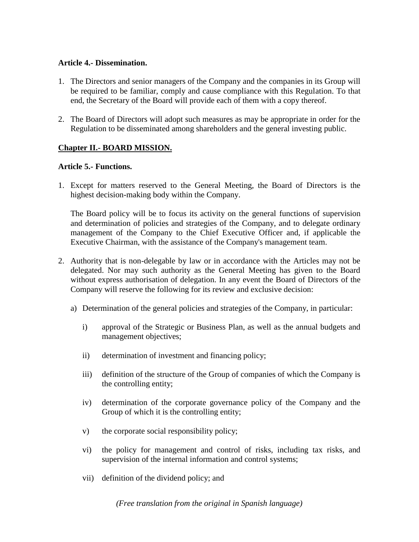#### **Article 4.- Dissemination.**

- 1. The Directors and senior managers of the Company and the companies in its Group will be required to be familiar, comply and cause compliance with this Regulation. To that end, the Secretary of the Board will provide each of them with a copy thereof.
- 2. The Board of Directors will adopt such measures as may be appropriate in order for the Regulation to be disseminated among shareholders and the general investing public.

# **Chapter II.- BOARD MISSION.**

### **Article 5.- Functions.**

1. Except for matters reserved to the General Meeting, the Board of Directors is the highest decision-making body within the Company.

The Board policy will be to focus its activity on the general functions of supervision and determination of policies and strategies of the Company, and to delegate ordinary management of the Company to the Chief Executive Officer and, if applicable the Executive Chairman, with the assistance of the Company's management team.

- 2. Authority that is non-delegable by law or in accordance with the Articles may not be delegated. Nor may such authority as the General Meeting has given to the Board without express authorisation of delegation. In any event the Board of Directors of the Company will reserve the following for its review and exclusive decision:
	- a) Determination of the general policies and strategies of the Company, in particular:
		- i) approval of the Strategic or Business Plan, as well as the annual budgets and management objectives;
		- ii) determination of investment and financing policy;
		- iii) definition of the structure of the Group of companies of which the Company is the controlling entity;
		- iv) determination of the corporate governance policy of the Company and the Group of which it is the controlling entity;
		- v) the corporate social responsibility policy;
		- vi) the policy for management and control of risks, including tax risks, and supervision of the internal information and control systems;
		- vii) definition of the dividend policy; and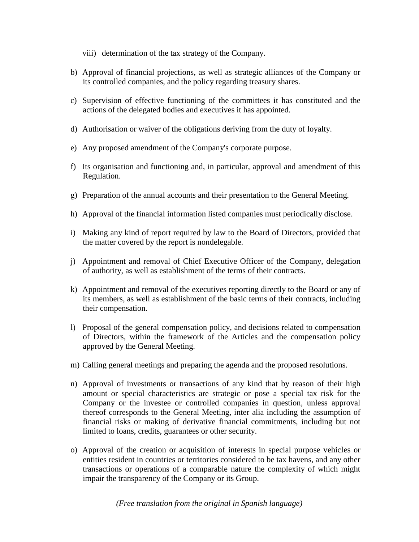- viii) determination of the tax strategy of the Company.
- b) Approval of financial projections, as well as strategic alliances of the Company or its controlled companies, and the policy regarding treasury shares.
- c) Supervision of effective functioning of the committees it has constituted and the actions of the delegated bodies and executives it has appointed.
- d) Authorisation or waiver of the obligations deriving from the duty of loyalty.
- e) Any proposed amendment of the Company's corporate purpose.
- f) Its organisation and functioning and, in particular, approval and amendment of this Regulation.
- g) Preparation of the annual accounts and their presentation to the General Meeting.
- h) Approval of the financial information listed companies must periodically disclose.
- i) Making any kind of report required by law to the Board of Directors, provided that the matter covered by the report is nondelegable.
- j) Appointment and removal of Chief Executive Officer of the Company, delegation of authority, as well as establishment of the terms of their contracts.
- k) Appointment and removal of the executives reporting directly to the Board or any of its members, as well as establishment of the basic terms of their contracts, including their compensation.
- l) Proposal of the general compensation policy, and decisions related to compensation of Directors, within the framework of the Articles and the compensation policy approved by the General Meeting.
- m) Calling general meetings and preparing the agenda and the proposed resolutions.
- n) Approval of investments or transactions of any kind that by reason of their high amount or special characteristics are strategic or pose a special tax risk for the Company or the investee or controlled companies in question, unless approval thereof corresponds to the General Meeting, inter alia including the assumption of financial risks or making of derivative financial commitments, including but not limited to loans, credits, guarantees or other security.
- o) Approval of the creation or acquisition of interests in special purpose vehicles or entities resident in countries or territories considered to be tax havens, and any other transactions or operations of a comparable nature the complexity of which might impair the transparency of the Company or its Group.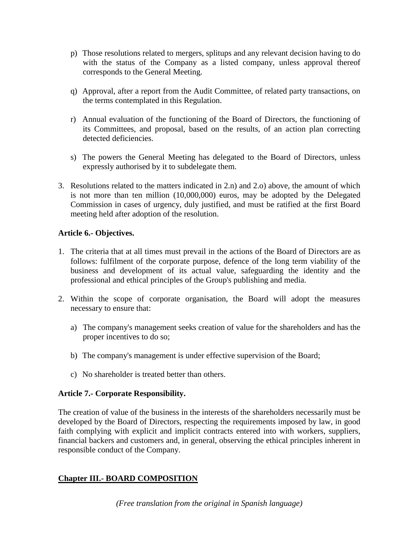- p) Those resolutions related to mergers, splitups and any relevant decision having to do with the status of the Company as a listed company, unless approval thereof corresponds to the General Meeting.
- q) Approval, after a report from the Audit Committee, of related party transactions, on the terms contemplated in this Regulation.
- r) Annual evaluation of the functioning of the Board of Directors, the functioning of its Committees, and proposal, based on the results, of an action plan correcting detected deficiencies.
- s) The powers the General Meeting has delegated to the Board of Directors, unless expressly authorised by it to subdelegate them.
- 3. Resolutions related to the matters indicated in 2.n) and 2.o) above, the amount of which is not more than ten million (10,000,000) euros, may be adopted by the Delegated Commission in cases of urgency, duly justified, and must be ratified at the first Board meeting held after adoption of the resolution.

## **Article 6.- Objectives.**

- 1. The criteria that at all times must prevail in the actions of the Board of Directors are as follows: fulfilment of the corporate purpose, defence of the long term viability of the business and development of its actual value, safeguarding the identity and the professional and ethical principles of the Group's publishing and media.
- 2. Within the scope of corporate organisation, the Board will adopt the measures necessary to ensure that:
	- a) The company's management seeks creation of value for the shareholders and has the proper incentives to do so;
	- b) The company's management is under effective supervision of the Board;
	- c) No shareholder is treated better than others.

# **Article 7.- Corporate Responsibility.**

The creation of value of the business in the interests of the shareholders necessarily must be developed by the Board of Directors, respecting the requirements imposed by law, in good faith complying with explicit and implicit contracts entered into with workers, suppliers, financial backers and customers and, in general, observing the ethical principles inherent in responsible conduct of the Company.

# **Chapter III.- BOARD COMPOSITION**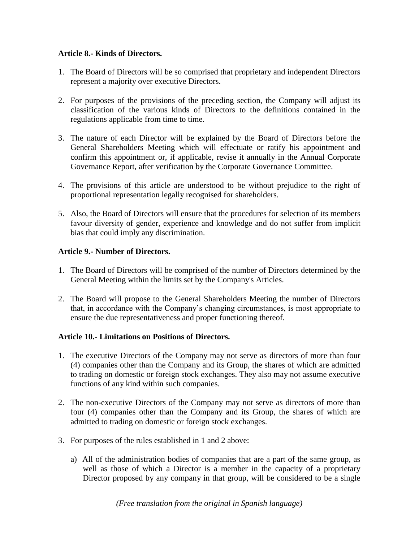### **Article 8.- Kinds of Directors.**

- 1. The Board of Directors will be so comprised that proprietary and independent Directors represent a majority over executive Directors.
- 2. For purposes of the provisions of the preceding section, the Company will adjust its classification of the various kinds of Directors to the definitions contained in the regulations applicable from time to time.
- 3. The nature of each Director will be explained by the Board of Directors before the General Shareholders Meeting which will effectuate or ratify his appointment and confirm this appointment or, if applicable, revise it annually in the Annual Corporate Governance Report, after verification by the Corporate Governance Committee.
- 4. The provisions of this article are understood to be without prejudice to the right of proportional representation legally recognised for shareholders.
- 5. Also, the Board of Directors will ensure that the procedures for selection of its members favour diversity of gender, experience and knowledge and do not suffer from implicit bias that could imply any discrimination.

## **Article 9.- Number of Directors.**

- 1. The Board of Directors will be comprised of the number of Directors determined by the General Meeting within the limits set by the Company's Articles.
- 2. The Board will propose to the General Shareholders Meeting the number of Directors that, in accordance with the Company's changing circumstances, is most appropriate to ensure the due representativeness and proper functioning thereof.

## **Article 10.- Limitations on Positions of Directors.**

- 1. The executive Directors of the Company may not serve as directors of more than four (4) companies other than the Company and its Group, the shares of which are admitted to trading on domestic or foreign stock exchanges. They also may not assume executive functions of any kind within such companies.
- 2. The non-executive Directors of the Company may not serve as directors of more than four (4) companies other than the Company and its Group, the shares of which are admitted to trading on domestic or foreign stock exchanges.
- 3. For purposes of the rules established in 1 and 2 above:
	- a) All of the administration bodies of companies that are a part of the same group, as well as those of which a Director is a member in the capacity of a proprietary Director proposed by any company in that group, will be considered to be a single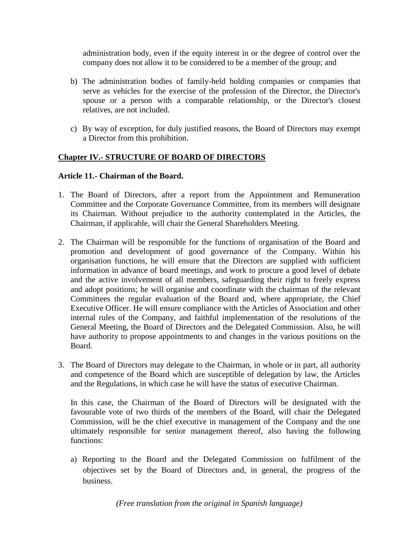administration body, even if the equity interest in or the degree of control over the company does not allow it to be considered to be a member of the group; and

- b) The administration bodies of family-held holding companies or companies that serve as vehicles for the exercise of the profession of the Director, the Director's spouse or a person with a comparable relationship, or the Director's closest relatives, are not included.
- c) By way of exception, for duly justified reasons, the Board of Directors may exempt a Director from this prohibition.

## **Chapter IV.- STRUCTURE OF BOARD OF DIRECTORS**

#### **Article 11.- Chairman of the Board.**

- 1. The Board of Directors, after a report from the Appointment and Remuneration Committee and the Corporate Governance Committee, from its members will designate its Chairman. Without prejudice to the authority contemplated in the Articles, the Chairman, if applicable, will chair the General Shareholders Meeting.
- 2. The Chairman will be responsible for the functions of organisation of the Board and promotion and development of good governance of the Company. Within his organisation functions, he will ensure that the Directors are supplied with sufficient information in advance of board meetings, and work to procure a good level of debate and the active involvement of all members, safeguarding their right to freely express and adopt positions; he will organise and coordinate with the chairman of the relevant Committees the regular evaluation of the Board and, where appropriate, the Chief Executive Officer. He will ensure compliance with the Articles of Association and other internal rules of the Company, and faithful implementation of the resolutions of the General Meeting, the Board of Directors and the Delegated Commission. Also, he will have authority to propose appointments to and changes in the various positions on the Board.
- 3. The Board of Directors may delegate to the Chairman, in whole or in part, all authority and competence of the Board which are susceptible of delegation by law, the Articles and the Regulations, in which case he will have the status of executive Chairman.

In this case, the Chairman of the Board of Directors will be designated with the favourable vote of two thirds of the members of the Board, will chair the Delegated Commission, will be the chief executive in management of the Company and the one ultimately responsible for senior management thereof, also having the following functions:

a) Reporting to the Board and the Delegated Commission on fulfilment of the objectives set by the Board of Directors and, in general, the progress of the business.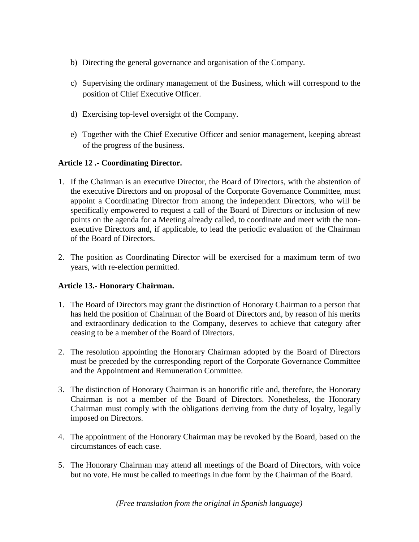- b) Directing the general governance and organisation of the Company.
- c) Supervising the ordinary management of the Business, which will correspond to the position of Chief Executive Officer.
- d) Exercising top-level oversight of the Company.
- e) Together with the Chief Executive Officer and senior management, keeping abreast of the progress of the business.

## **Article 12 .- Coordinating Director.**

- 1. If the Chairman is an executive Director, the Board of Directors, with the abstention of the executive Directors and on proposal of the Corporate Governance Committee, must appoint a Coordinating Director from among the independent Directors, who will be specifically empowered to request a call of the Board of Directors or inclusion of new points on the agenda for a Meeting already called, to coordinate and meet with the nonexecutive Directors and, if applicable, to lead the periodic evaluation of the Chairman of the Board of Directors.
- 2. The position as Coordinating Director will be exercised for a maximum term of two years, with re-election permitted.

## **Article 13.- Honorary Chairman.**

- 1. The Board of Directors may grant the distinction of Honorary Chairman to a person that has held the position of Chairman of the Board of Directors and, by reason of his merits and extraordinary dedication to the Company, deserves to achieve that category after ceasing to be a member of the Board of Directors.
- 2. The resolution appointing the Honorary Chairman adopted by the Board of Directors must be preceded by the corresponding report of the Corporate Governance Committee and the Appointment and Remuneration Committee.
- 3. The distinction of Honorary Chairman is an honorific title and, therefore, the Honorary Chairman is not a member of the Board of Directors. Nonetheless, the Honorary Chairman must comply with the obligations deriving from the duty of loyalty, legally imposed on Directors.
- 4. The appointment of the Honorary Chairman may be revoked by the Board, based on the circumstances of each case.
- 5. The Honorary Chairman may attend all meetings of the Board of Directors, with voice but no vote. He must be called to meetings in due form by the Chairman of the Board.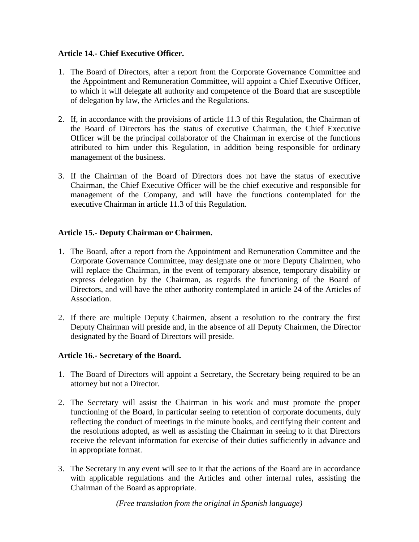### **Article 14.- Chief Executive Officer.**

- 1. The Board of Directors, after a report from the Corporate Governance Committee and the Appointment and Remuneration Committee, will appoint a Chief Executive Officer, to which it will delegate all authority and competence of the Board that are susceptible of delegation by law, the Articles and the Regulations.
- 2. If, in accordance with the provisions of article 11.3 of this Regulation, the Chairman of the Board of Directors has the status of executive Chairman, the Chief Executive Officer will be the principal collaborator of the Chairman in exercise of the functions attributed to him under this Regulation, in addition being responsible for ordinary management of the business.
- 3. If the Chairman of the Board of Directors does not have the status of executive Chairman, the Chief Executive Officer will be the chief executive and responsible for management of the Company, and will have the functions contemplated for the executive Chairman in article 11.3 of this Regulation.

### **Article 15.- Deputy Chairman or Chairmen.**

- 1. The Board, after a report from the Appointment and Remuneration Committee and the Corporate Governance Committee, may designate one or more Deputy Chairmen, who will replace the Chairman, in the event of temporary absence, temporary disability or express delegation by the Chairman, as regards the functioning of the Board of Directors, and will have the other authority contemplated in article 24 of the Articles of Association.
- 2. If there are multiple Deputy Chairmen, absent a resolution to the contrary the first Deputy Chairman will preside and, in the absence of all Deputy Chairmen, the Director designated by the Board of Directors will preside.

#### **Article 16.- Secretary of the Board.**

- 1. The Board of Directors will appoint a Secretary, the Secretary being required to be an attorney but not a Director.
- 2. The Secretary will assist the Chairman in his work and must promote the proper functioning of the Board, in particular seeing to retention of corporate documents, duly reflecting the conduct of meetings in the minute books, and certifying their content and the resolutions adopted, as well as assisting the Chairman in seeing to it that Directors receive the relevant information for exercise of their duties sufficiently in advance and in appropriate format.
- 3. The Secretary in any event will see to it that the actions of the Board are in accordance with applicable regulations and the Articles and other internal rules, assisting the Chairman of the Board as appropriate.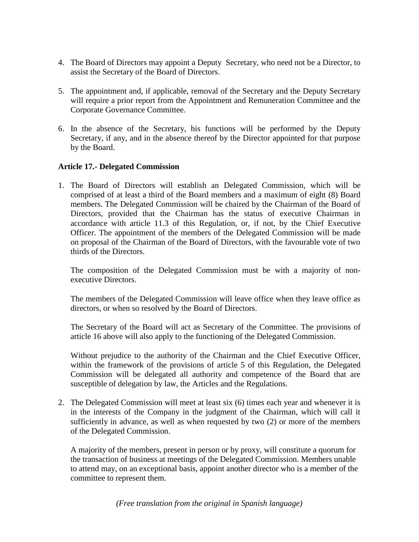- 4. The Board of Directors may appoint a Deputy Secretary, who need not be a Director, to assist the Secretary of the Board of Directors.
- 5. The appointment and, if applicable, removal of the Secretary and the Deputy Secretary will require a prior report from the Appointment and Remuneration Committee and the Corporate Governance Committee.
- 6. In the absence of the Secretary, his functions will be performed by the Deputy Secretary, if any, and in the absence thereof by the Director appointed for that purpose by the Board.

### **Article 17.- Delegated Commission**

1. The Board of Directors will establish an Delegated Commission, which will be comprised of at least a third of the Board members and a maximum of eight (8) Board members. The Delegated Commission will be chaired by the Chairman of the Board of Directors, provided that the Chairman has the status of executive Chairman in accordance with article 11.3 of this Regulation, or, if not, by the Chief Executive Officer. The appointment of the members of the Delegated Commission will be made on proposal of the Chairman of the Board of Directors, with the favourable vote of two thirds of the Directors.

The composition of the Delegated Commission must be with a majority of nonexecutive Directors.

The members of the Delegated Commission will leave office when they leave office as directors, or when so resolved by the Board of Directors.

The Secretary of the Board will act as Secretary of the Committee. The provisions of article 16 above will also apply to the functioning of the Delegated Commission.

Without prejudice to the authority of the Chairman and the Chief Executive Officer, within the framework of the provisions of article 5 of this Regulation, the Delegated Commission will be delegated all authority and competence of the Board that are susceptible of delegation by law, the Articles and the Regulations.

2. The Delegated Commission will meet at least six (6) times each year and whenever it is in the interests of the Company in the judgment of the Chairman, which will call it sufficiently in advance, as well as when requested by two (2) or more of the members of the Delegated Commission.

A majority of the members, present in person or by proxy, will constitute a quorum for the transaction of business at meetings of the Delegated Commission. Members unable to attend may, on an exceptional basis, appoint another director who is a member of the committee to represent them.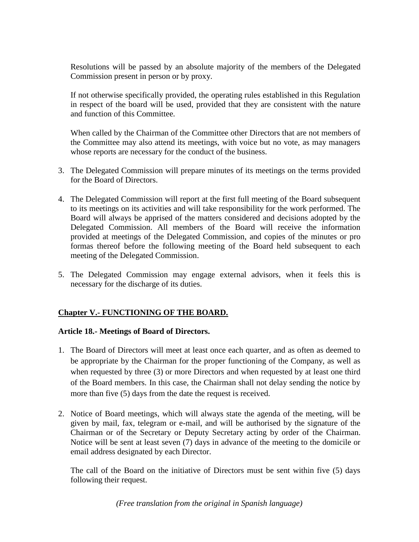Resolutions will be passed by an absolute majority of the members of the Delegated Commission present in person or by proxy.

If not otherwise specifically provided, the operating rules established in this Regulation in respect of the board will be used, provided that they are consistent with the nature and function of this Committee.

When called by the Chairman of the Committee other Directors that are not members of the Committee may also attend its meetings, with voice but no vote, as may managers whose reports are necessary for the conduct of the business.

- 3. The Delegated Commission will prepare minutes of its meetings on the terms provided for the Board of Directors.
- 4. The Delegated Commission will report at the first full meeting of the Board subsequent to its meetings on its activities and will take responsibility for the work performed. The Board will always be apprised of the matters considered and decisions adopted by the Delegated Commission. All members of the Board will receive the information provided at meetings of the Delegated Commission, and copies of the minutes or pro formas thereof before the following meeting of the Board held subsequent to each meeting of the Delegated Commission.
- 5. The Delegated Commission may engage external advisors, when it feels this is necessary for the discharge of its duties.

## **Chapter V.- FUNCTIONING OF THE BOARD.**

#### **Article 18.- Meetings of Board of Directors.**

- 1. The Board of Directors will meet at least once each quarter, and as often as deemed to be appropriate by the Chairman for the proper functioning of the Company, as well as when requested by three (3) or more Directors and when requested by at least one third of the Board members. In this case, the Chairman shall not delay sending the notice by more than five (5) days from the date the request is received.
- 2. Notice of Board meetings, which will always state the agenda of the meeting, will be given by mail, fax, telegram or e-mail, and will be authorised by the signature of the Chairman or of the Secretary or Deputy Secretary acting by order of the Chairman. Notice will be sent at least seven (7) days in advance of the meeting to the domicile or email address designated by each Director.

The call of the Board on the initiative of Directors must be sent within five (5) days following their request.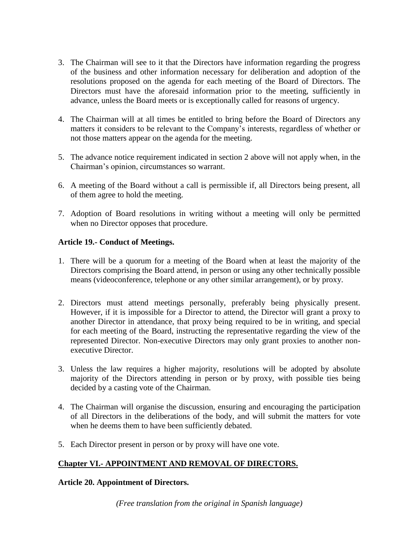- 3. The Chairman will see to it that the Directors have information regarding the progress of the business and other information necessary for deliberation and adoption of the resolutions proposed on the agenda for each meeting of the Board of Directors. The Directors must have the aforesaid information prior to the meeting, sufficiently in advance, unless the Board meets or is exceptionally called for reasons of urgency.
- 4. The Chairman will at all times be entitled to bring before the Board of Directors any matters it considers to be relevant to the Company's interests, regardless of whether or not those matters appear on the agenda for the meeting.
- 5. The advance notice requirement indicated in section 2 above will not apply when, in the Chairman's opinion, circumstances so warrant.
- 6. A meeting of the Board without a call is permissible if, all Directors being present, all of them agree to hold the meeting.
- 7. Adoption of Board resolutions in writing without a meeting will only be permitted when no Director opposes that procedure.

## **Article 19.- Conduct of Meetings.**

- 1. There will be a quorum for a meeting of the Board when at least the majority of the Directors comprising the Board attend, in person or using any other technically possible means (videoconference, telephone or any other similar arrangement), or by proxy.
- 2. Directors must attend meetings personally, preferably being physically present. However, if it is impossible for a Director to attend, the Director will grant a proxy to another Director in attendance, that proxy being required to be in writing, and special for each meeting of the Board, instructing the representative regarding the view of the represented Director. Non-executive Directors may only grant proxies to another nonexecutive Director.
- 3. Unless the law requires a higher majority, resolutions will be adopted by absolute majority of the Directors attending in person or by proxy, with possible ties being decided by a casting vote of the Chairman.
- 4. The Chairman will organise the discussion, ensuring and encouraging the participation of all Directors in the deliberations of the body, and will submit the matters for vote when he deems them to have been sufficiently debated.
- 5. Each Director present in person or by proxy will have one vote.

# **Chapter VI.- APPOINTMENT AND REMOVAL OF DIRECTORS.**

## **Article 20. Appointment of Directors.**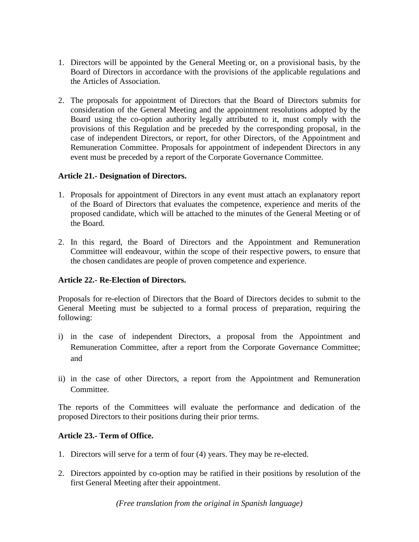- 1. Directors will be appointed by the General Meeting or, on a provisional basis, by the Board of Directors in accordance with the provisions of the applicable regulations and the Articles of Association.
- 2. The proposals for appointment of Directors that the Board of Directors submits for consideration of the General Meeting and the appointment resolutions adopted by the Board using the co-option authority legally attributed to it, must comply with the provisions of this Regulation and be preceded by the corresponding proposal, in the case of independent Directors, or report, for other Directors, of the Appointment and Remuneration Committee. Proposals for appointment of independent Directors in any event must be preceded by a report of the Corporate Governance Committee.

### **Article 21.- Designation of Directors.**

- 1. Proposals for appointment of Directors in any event must attach an explanatory report of the Board of Directors that evaluates the competence, experience and merits of the proposed candidate, which will be attached to the minutes of the General Meeting or of the Board.
- 2. In this regard, the Board of Directors and the Appointment and Remuneration Committee will endeavour, within the scope of their respective powers, to ensure that the chosen candidates are people of proven competence and experience.

#### **Article 22.- Re-Election of Directors.**

Proposals for re-election of Directors that the Board of Directors decides to submit to the General Meeting must be subjected to a formal process of preparation, requiring the following:

- i) in the case of independent Directors, a proposal from the Appointment and Remuneration Committee, after a report from the Corporate Governance Committee; and
- ii) in the case of other Directors, a report from the Appointment and Remuneration Committee.

The reports of the Committees will evaluate the performance and dedication of the proposed Directors to their positions during their prior terms.

#### **Article 23.- Term of Office.**

- 1. Directors will serve for a term of four (4) years. They may be re-elected.
- 2. Directors appointed by co-option may be ratified in their positions by resolution of the first General Meeting after their appointment.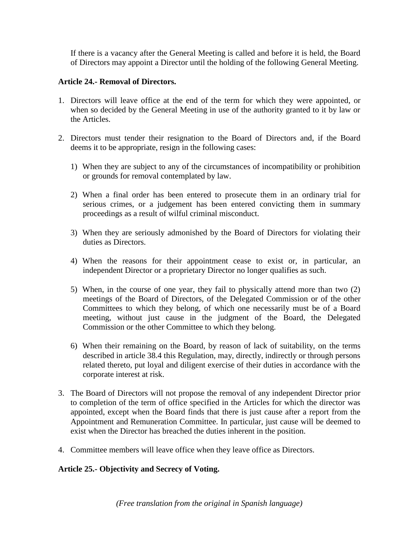If there is a vacancy after the General Meeting is called and before it is held, the Board of Directors may appoint a Director until the holding of the following General Meeting.

### **Article 24.- Removal of Directors.**

- 1. Directors will leave office at the end of the term for which they were appointed, or when so decided by the General Meeting in use of the authority granted to it by law or the Articles.
- 2. Directors must tender their resignation to the Board of Directors and, if the Board deems it to be appropriate, resign in the following cases:
	- 1) When they are subject to any of the circumstances of incompatibility or prohibition or grounds for removal contemplated by law.
	- 2) When a final order has been entered to prosecute them in an ordinary trial for serious crimes, or a judgement has been entered convicting them in summary proceedings as a result of wilful criminal misconduct.
	- 3) When they are seriously admonished by the Board of Directors for violating their duties as Directors.
	- 4) When the reasons for their appointment cease to exist or, in particular, an independent Director or a proprietary Director no longer qualifies as such.
	- 5) When, in the course of one year, they fail to physically attend more than two (2) meetings of the Board of Directors, of the Delegated Commission or of the other Committees to which they belong, of which one necessarily must be of a Board meeting, without just cause in the judgment of the Board, the Delegated Commission or the other Committee to which they belong.
	- 6) When their remaining on the Board, by reason of lack of suitability, on the terms described in article 38.4 this Regulation, may, directly, indirectly or through persons related thereto, put loyal and diligent exercise of their duties in accordance with the corporate interest at risk.
- 3. The Board of Directors will not propose the removal of any independent Director prior to completion of the term of office specified in the Articles for which the director was appointed, except when the Board finds that there is just cause after a report from the Appointment and Remuneration Committee. In particular, just cause will be deemed to exist when the Director has breached the duties inherent in the position.
- 4. Committee members will leave office when they leave office as Directors.

## **Article 25.- Objectivity and Secrecy of Voting.**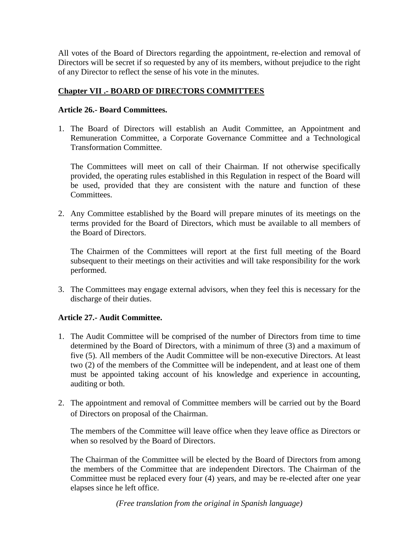All votes of the Board of Directors regarding the appointment, re-election and removal of Directors will be secret if so requested by any of its members, without prejudice to the right of any Director to reflect the sense of his vote in the minutes.

## **Chapter VII .- BOARD OF DIRECTORS COMMITTEES**

### **Article 26.- Board Committees.**

1. The Board of Directors will establish an Audit Committee, an Appointment and Remuneration Committee, a Corporate Governance Committee and a Technological Transformation Committee.

The Committees will meet on call of their Chairman. If not otherwise specifically provided, the operating rules established in this Regulation in respect of the Board will be used, provided that they are consistent with the nature and function of these Committees.

2. Any Committee established by the Board will prepare minutes of its meetings on the terms provided for the Board of Directors, which must be available to all members of the Board of Directors.

The Chairmen of the Committees will report at the first full meeting of the Board subsequent to their meetings on their activities and will take responsibility for the work performed.

3. The Committees may engage external advisors, when they feel this is necessary for the discharge of their duties.

## **Article 27.- Audit Committee.**

- 1. The Audit Committee will be comprised of the number of Directors from time to time determined by the Board of Directors, with a minimum of three (3) and a maximum of five (5). All members of the Audit Committee will be non-executive Directors. At least two (2) of the members of the Committee will be independent, and at least one of them must be appointed taking account of his knowledge and experience in accounting, auditing or both.
- 2. The appointment and removal of Committee members will be carried out by the Board of Directors on proposal of the Chairman.

The members of the Committee will leave office when they leave office as Directors or when so resolved by the Board of Directors.

The Chairman of the Committee will be elected by the Board of Directors from among the members of the Committee that are independent Directors. The Chairman of the Committee must be replaced every four (4) years, and may be re-elected after one year elapses since he left office.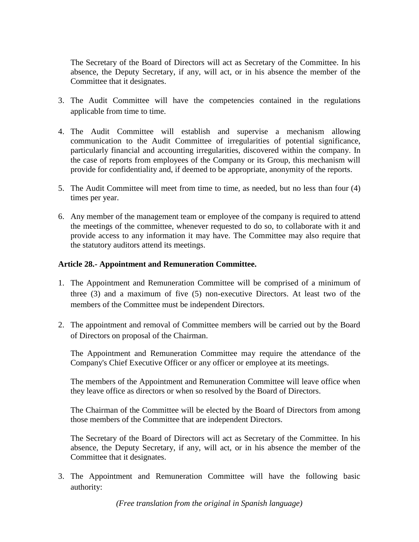The Secretary of the Board of Directors will act as Secretary of the Committee. In his absence, the Deputy Secretary, if any, will act, or in his absence the member of the Committee that it designates.

- 3. The Audit Committee will have the competencies contained in the regulations applicable from time to time.
- 4. The Audit Committee will establish and supervise a mechanism allowing communication to the Audit Committee of irregularities of potential significance, particularly financial and accounting irregularities, discovered within the company. In the case of reports from employees of the Company or its Group, this mechanism will provide for confidentiality and, if deemed to be appropriate, anonymity of the reports.
- 5. The Audit Committee will meet from time to time, as needed, but no less than four (4) times per year.
- 6. Any member of the management team or employee of the company is required to attend the meetings of the committee, whenever requested to do so, to collaborate with it and provide access to any information it may have. The Committee may also require that the statutory auditors attend its meetings.

#### **Article 28.- Appointment and Remuneration Committee.**

- 1. The Appointment and Remuneration Committee will be comprised of a minimum of three (3) and a maximum of five (5) non-executive Directors. At least two of the members of the Committee must be independent Directors.
- 2. The appointment and removal of Committee members will be carried out by the Board of Directors on proposal of the Chairman.

The Appointment and Remuneration Committee may require the attendance of the Company's Chief Executive Officer or any officer or employee at its meetings.

The members of the Appointment and Remuneration Committee will leave office when they leave office as directors or when so resolved by the Board of Directors.

The Chairman of the Committee will be elected by the Board of Directors from among those members of the Committee that are independent Directors.

The Secretary of the Board of Directors will act as Secretary of the Committee. In his absence, the Deputy Secretary, if any, will act, or in his absence the member of the Committee that it designates.

3. The Appointment and Remuneration Committee will have the following basic authority: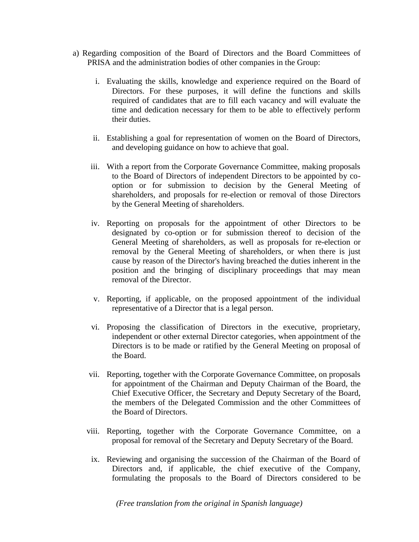- a) Regarding composition of the Board of Directors and the Board Committees of PRISA and the administration bodies of other companies in the Group:
	- i. Evaluating the skills, knowledge and experience required on the Board of Directors. For these purposes, it will define the functions and skills required of candidates that are to fill each vacancy and will evaluate the time and dedication necessary for them to be able to effectively perform their duties.
	- ii. Establishing a goal for representation of women on the Board of Directors, and developing guidance on how to achieve that goal.
	- iii. With a report from the Corporate Governance Committee, making proposals to the Board of Directors of independent Directors to be appointed by cooption or for submission to decision by the General Meeting of shareholders, and proposals for re-election or removal of those Directors by the General Meeting of shareholders.
	- iv. Reporting on proposals for the appointment of other Directors to be designated by co-option or for submission thereof to decision of the General Meeting of shareholders, as well as proposals for re-election or removal by the General Meeting of shareholders, or when there is just cause by reason of the Director's having breached the duties inherent in the position and the bringing of disciplinary proceedings that may mean removal of the Director.
	- v. Reporting, if applicable, on the proposed appointment of the individual representative of a Director that is a legal person.
	- vi. Proposing the classification of Directors in the executive, proprietary, independent or other external Director categories, when appointment of the Directors is to be made or ratified by the General Meeting on proposal of the Board.
	- vii. Reporting, together with the Corporate Governance Committee, on proposals for appointment of the Chairman and Deputy Chairman of the Board, the Chief Executive Officer, the Secretary and Deputy Secretary of the Board, the members of the Delegated Commission and the other Committees of the Board of Directors.
	- viii. Reporting, together with the Corporate Governance Committee, on a proposal for removal of the Secretary and Deputy Secretary of the Board.
		- ix. Reviewing and organising the succession of the Chairman of the Board of Directors and, if applicable, the chief executive of the Company, formulating the proposals to the Board of Directors considered to be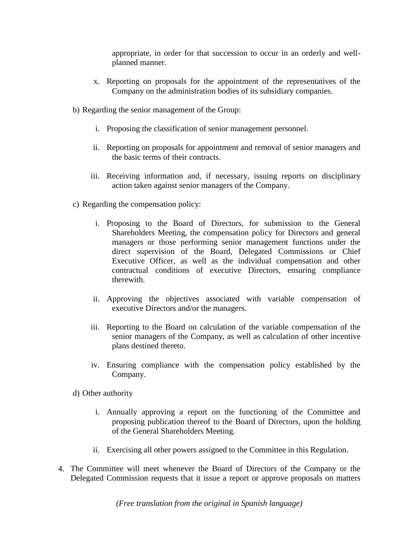appropriate, in order for that succession to occur in an orderly and wellplanned manner.

- x. Reporting on proposals for the appointment of the representatives of the Company on the administration bodies of its subsidiary companies.
- b) Regarding the senior management of the Group:
	- i. Proposing the classification of senior management personnel.
	- ii. Reporting on proposals for appointment and removal of senior managers and the basic terms of their contracts.
	- iii. Receiving information and, if necessary, issuing reports on disciplinary action taken against senior managers of the Company.
- c) Regarding the compensation policy:
	- i. Proposing to the Board of Directors, for submission to the General Shareholders Meeting, the compensation policy for Directors and general managers or those performing senior management functions under the direct supervision of the Board, Delegated Commissions or Chief Executive Officer, as well as the individual compensation and other contractual conditions of executive Directors, ensuring compliance therewith.
	- ii. Approving the objectives associated with variable compensation of executive Directors and/or the managers.
	- iii. Reporting to the Board on calculation of the variable compensation of the senior managers of the Company, as well as calculation of other incentive plans destined thereto.
	- iv. Ensuring compliance with the compensation policy established by the Company.
- d) Other authority
	- i. Annually approving a report on the functioning of the Committee and proposing publication thereof to the Board of Directors, upon the holding of the General Shareholders Meeting.
	- ii. Exercising all other powers assigned to the Committee in this Regulation.
- 4. The Committee will meet whenever the Board of Directors of the Company or the Delegated Commission requests that it issue a report or approve proposals on matters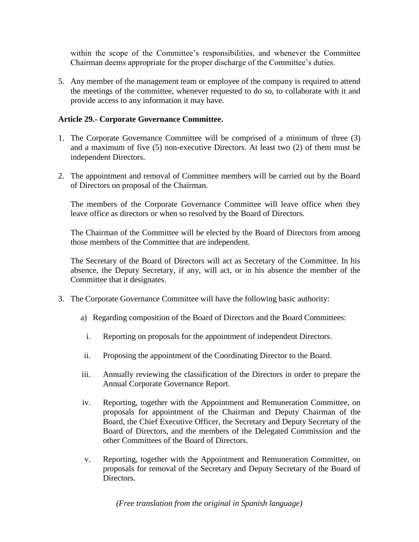within the scope of the Committee's responsibilities, and whenever the Committee Chairman deems appropriate for the proper discharge of the Committee's duties.

5. Any member of the management team or employee of the company is required to attend the meetings of the committee, whenever requested to do so, to collaborate with it and provide access to any information it may have.

### **Article 29.- Corporate Governance Committee.**

- 1. The Corporate Governance Committee will be comprised of a minimum of three (3) and a maximum of five (5) non-executive Directors. At least two (2) of them must be independent Directors.
- 2. The appointment and removal of Committee members will be carried out by the Board of Directors on proposal of the Chairman.

The members of the Corporate Governance Committee will leave office when they leave office as directors or when so resolved by the Board of Directors.

The Chairman of the Committee will be elected by the Board of Directors from among those members of the Committee that are independent.

The Secretary of the Board of Directors will act as Secretary of the Committee. In his absence, the Deputy Secretary, if any, will act, or in his absence the member of the Committee that it designates.

- 3. The Corporate Governance Committee will have the following basic authority:
	- a) Regarding composition of the Board of Directors and the Board Committees:
		- i. Reporting on proposals for the appointment of independent Directors.
	- ii. Proposing the appointment of the Coordinating Director to the Board.
	- iii. Annually reviewing the classification of the Directors in order to prepare the Annual Corporate Governance Report.
	- iv. Reporting, together with the Appointment and Remuneration Committee, on proposals for appointment of the Chairman and Deputy Chairman of the Board, the Chief Executive Officer, the Secretary and Deputy Secretary of the Board of Directors, and the members of the Delegated Commission and the other Committees of the Board of Directors.
	- v. Reporting, together with the Appointment and Remuneration Committee, on proposals for removal of the Secretary and Deputy Secretary of the Board of Directors.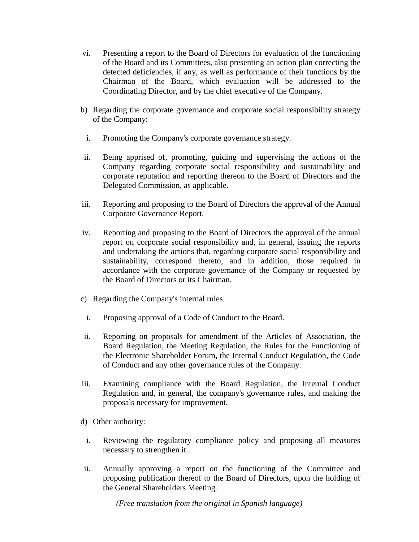- vi. Presenting a report to the Board of Directors for evaluation of the functioning of the Board and its Committees, also presenting an action plan correcting the detected deficiencies, if any, as well as performance of their functions by the Chairman of the Board, which evaluation will be addressed to the Coordinating Director, and by the chief executive of the Company.
- b) Regarding the corporate governance and corporate social responsibility strategy of the Company:
	- i. Promoting the Company's corporate governance strategy.
- ii. Being apprised of, promoting, guiding and supervising the actions of the Company regarding corporate social responsibility and sustainability and corporate reputation and reporting thereon to the Board of Directors and the Delegated Commission, as applicable.
- iii. Reporting and proposing to the Board of Directors the approval of the Annual Corporate Governance Report.
- iv. Reporting and proposing to the Board of Directors the approval of the annual report on corporate social responsibility and, in general, issuing the reports and undertaking the actions that, regarding corporate social responsibility and sustainability, correspond thereto, and in addition, those required in accordance with the corporate governance of the Company or requested by the Board of Directors or its Chairman.
- c) Regarding the Company's internal rules:
	- i. Proposing approval of a Code of Conduct to the Board.
- ii. Reporting on proposals for amendment of the Articles of Association, the Board Regulation, the Meeting Regulation, the Rules for the Functioning of the Electronic Shareholder Forum, the Internal Conduct Regulation, the Code of Conduct and any other governance rules of the Company.
- iii. Examining compliance with the Board Regulation, the Internal Conduct Regulation and, in general, the company's governance rules, and making the proposals necessary for improvement.
- d) Other authority:
- i. Reviewing the regulatory compliance policy and proposing all measures necessary to strengthen it.
- ii. Annually approving a report on the functioning of the Committee and proposing publication thereof to the Board of Directors, upon the holding of the General Shareholders Meeting.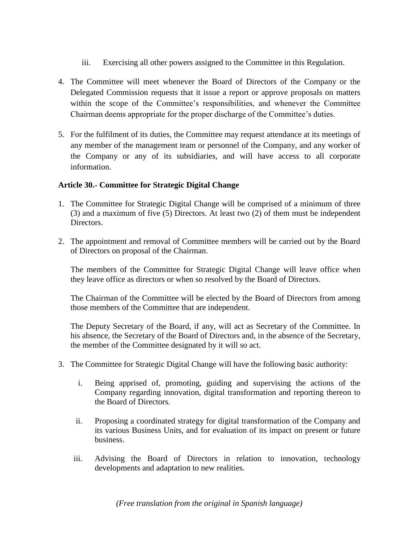- iii. Exercising all other powers assigned to the Committee in this Regulation.
- 4. The Committee will meet whenever the Board of Directors of the Company or the Delegated Commission requests that it issue a report or approve proposals on matters within the scope of the Committee's responsibilities, and whenever the Committee Chairman deems appropriate for the proper discharge of the Committee's duties.
- 5. For the fulfilment of its duties, the Committee may request attendance at its meetings of any member of the management team or personnel of the Company, and any worker of the Company or any of its subsidiaries, and will have access to all corporate information.

### **Article 30.- Committee for Strategic Digital Change**

- 1. The Committee for Strategic Digital Change will be comprised of a minimum of three (3) and a maximum of five (5) Directors. At least two (2) of them must be independent Directors.
- 2. The appointment and removal of Committee members will be carried out by the Board of Directors on proposal of the Chairman.

The members of the Committee for Strategic Digital Change will leave office when they leave office as directors or when so resolved by the Board of Directors.

The Chairman of the Committee will be elected by the Board of Directors from among those members of the Committee that are independent.

The Deputy Secretary of the Board, if any, will act as Secretary of the Committee. In his absence, the Secretary of the Board of Directors and, in the absence of the Secretary, the member of the Committee designated by it will so act.

- 3. The Committee for Strategic Digital Change will have the following basic authority:
	- i. Being apprised of, promoting, guiding and supervising the actions of the Company regarding innovation, digital transformation and reporting thereon to the Board of Directors.
	- ii. Proposing a coordinated strategy for digital transformation of the Company and its various Business Units, and for evaluation of its impact on present or future business.
	- iii. Advising the Board of Directors in relation to innovation, technology developments and adaptation to new realities.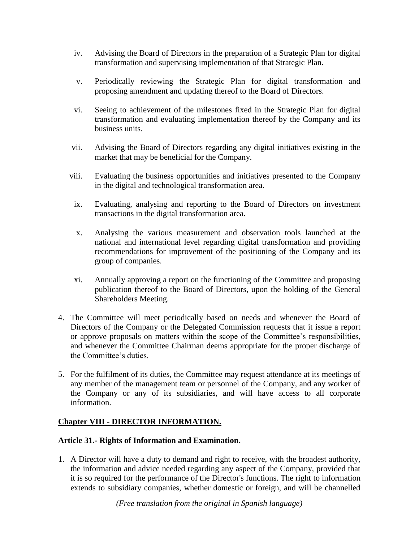- iv. Advising the Board of Directors in the preparation of a Strategic Plan for digital transformation and supervising implementation of that Strategic Plan.
- v. Periodically reviewing the Strategic Plan for digital transformation and proposing amendment and updating thereof to the Board of Directors.
- vi. Seeing to achievement of the milestones fixed in the Strategic Plan for digital transformation and evaluating implementation thereof by the Company and its business units.
- vii. Advising the Board of Directors regarding any digital initiatives existing in the market that may be beneficial for the Company.
- viii. Evaluating the business opportunities and initiatives presented to the Company in the digital and technological transformation area.
- ix. Evaluating, analysing and reporting to the Board of Directors on investment transactions in the digital transformation area.
- x. Analysing the various measurement and observation tools launched at the national and international level regarding digital transformation and providing recommendations for improvement of the positioning of the Company and its group of companies.
- xi. Annually approving a report on the functioning of the Committee and proposing publication thereof to the Board of Directors, upon the holding of the General Shareholders Meeting.
- 4. The Committee will meet periodically based on needs and whenever the Board of Directors of the Company or the Delegated Commission requests that it issue a report or approve proposals on matters within the scope of the Committee's responsibilities, and whenever the Committee Chairman deems appropriate for the proper discharge of the Committee's duties.
- 5. For the fulfilment of its duties, the Committee may request attendance at its meetings of any member of the management team or personnel of the Company, and any worker of the Company or any of its subsidiaries, and will have access to all corporate information.

## **Chapter VIII - DIRECTOR INFORMATION.**

## **Article 31.- Rights of Information and Examination.**

1. A Director will have a duty to demand and right to receive, with the broadest authority, the information and advice needed regarding any aspect of the Company, provided that it is so required for the performance of the Director's functions. The right to information extends to subsidiary companies, whether domestic or foreign, and will be channelled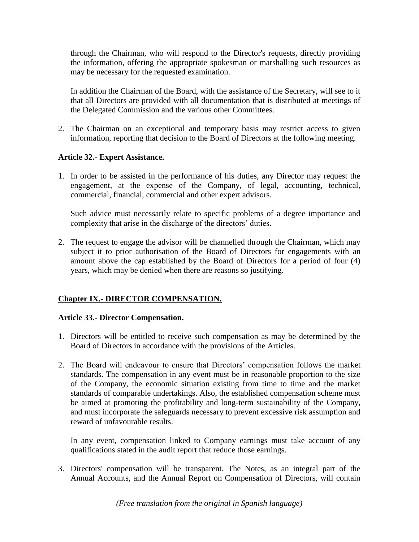through the Chairman, who will respond to the Director's requests, directly providing the information, offering the appropriate spokesman or marshalling such resources as may be necessary for the requested examination.

In addition the Chairman of the Board, with the assistance of the Secretary, will see to it that all Directors are provided with all documentation that is distributed at meetings of the Delegated Commission and the various other Committees.

2. The Chairman on an exceptional and temporary basis may restrict access to given information, reporting that decision to the Board of Directors at the following meeting.

## **Article 32.- Expert Assistance.**

1. In order to be assisted in the performance of his duties, any Director may request the engagement, at the expense of the Company, of legal, accounting, technical, commercial, financial, commercial and other expert advisors.

Such advice must necessarily relate to specific problems of a degree importance and complexity that arise in the discharge of the directors' duties.

2. The request to engage the advisor will be channelled through the Chairman, which may subject it to prior authorisation of the Board of Directors for engagements with an amount above the cap established by the Board of Directors for a period of four (4) years, which may be denied when there are reasons so justifying.

## **Chapter IX.- DIRECTOR COMPENSATION.**

#### **Article 33.- Director Compensation.**

- 1. Directors will be entitled to receive such compensation as may be determined by the Board of Directors in accordance with the provisions of the Articles.
- 2. The Board will endeavour to ensure that Directors' compensation follows the market standards. The compensation in any event must be in reasonable proportion to the size of the Company, the economic situation existing from time to time and the market standards of comparable undertakings. Also, the established compensation scheme must be aimed at promoting the profitability and long-term sustainability of the Company, and must incorporate the safeguards necessary to prevent excessive risk assumption and reward of unfavourable results.

In any event, compensation linked to Company earnings must take account of any qualifications stated in the audit report that reduce those earnings.

3. Directors' compensation will be transparent. The Notes, as an integral part of the Annual Accounts, and the Annual Report on Compensation of Directors, will contain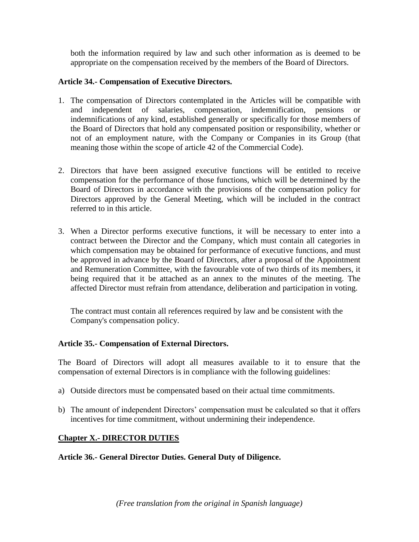both the information required by law and such other information as is deemed to be appropriate on the compensation received by the members of the Board of Directors.

### **Article 34.- Compensation of Executive Directors.**

- 1. The compensation of Directors contemplated in the Articles will be compatible with and independent of salaries, compensation, indemnification, pensions or indemnifications of any kind, established generally or specifically for those members of the Board of Directors that hold any compensated position or responsibility, whether or not of an employment nature, with the Company or Companies in its Group (that meaning those within the scope of article 42 of the Commercial Code).
- 2. Directors that have been assigned executive functions will be entitled to receive compensation for the performance of those functions, which will be determined by the Board of Directors in accordance with the provisions of the compensation policy for Directors approved by the General Meeting, which will be included in the contract referred to in this article.
- 3. When a Director performs executive functions, it will be necessary to enter into a contract between the Director and the Company, which must contain all categories in which compensation may be obtained for performance of executive functions, and must be approved in advance by the Board of Directors, after a proposal of the Appointment and Remuneration Committee, with the favourable vote of two thirds of its members, it being required that it be attached as an annex to the minutes of the meeting. The affected Director must refrain from attendance, deliberation and participation in voting.

The contract must contain all references required by law and be consistent with the Company's compensation policy.

## **Article 35.- Compensation of External Directors.**

The Board of Directors will adopt all measures available to it to ensure that the compensation of external Directors is in compliance with the following guidelines:

- a) Outside directors must be compensated based on their actual time commitments.
- b) The amount of independent Directors' compensation must be calculated so that it offers incentives for time commitment, without undermining their independence.

## **Chapter X.- DIRECTOR DUTIES**

## **Article 36.- General Director Duties. General Duty of Diligence.**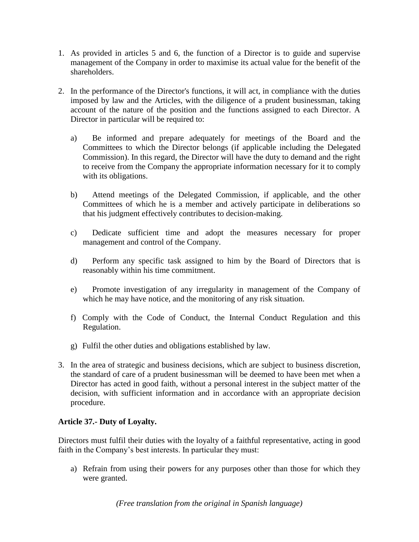- 1. As provided in articles 5 and 6, the function of a Director is to guide and supervise management of the Company in order to maximise its actual value for the benefit of the shareholders.
- 2. In the performance of the Director's functions, it will act, in compliance with the duties imposed by law and the Articles, with the diligence of a prudent businessman, taking account of the nature of the position and the functions assigned to each Director. A Director in particular will be required to:
	- a) Be informed and prepare adequately for meetings of the Board and the Committees to which the Director belongs (if applicable including the Delegated Commission). In this regard, the Director will have the duty to demand and the right to receive from the Company the appropriate information necessary for it to comply with its obligations.
	- b) Attend meetings of the Delegated Commission, if applicable, and the other Committees of which he is a member and actively participate in deliberations so that his judgment effectively contributes to decision-making.
	- c) Dedicate sufficient time and adopt the measures necessary for proper management and control of the Company.
	- d) Perform any specific task assigned to him by the Board of Directors that is reasonably within his time commitment.
	- e) Promote investigation of any irregularity in management of the Company of which he may have notice, and the monitoring of any risk situation.
	- f) Comply with the Code of Conduct, the Internal Conduct Regulation and this Regulation.
	- g) Fulfil the other duties and obligations established by law.
- 3. In the area of strategic and business decisions, which are subject to business discretion, the standard of care of a prudent businessman will be deemed to have been met when a Director has acted in good faith, without a personal interest in the subject matter of the decision, with sufficient information and in accordance with an appropriate decision procedure.

## **Article 37.- Duty of Loyalty.**

Directors must fulfil their duties with the loyalty of a faithful representative, acting in good faith in the Company's best interests. In particular they must:

a) Refrain from using their powers for any purposes other than those for which they were granted.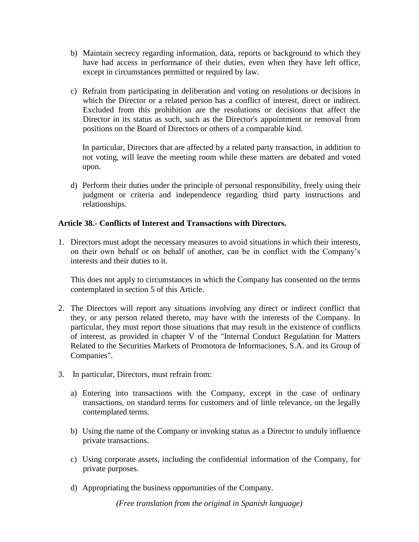- b) Maintain secrecy regarding information, data, reports or background to which they have had access in performance of their duties, even when they have left office, except in circumstances permitted or required by law.
- c) Refrain from participating in deliberation and voting on resolutions or decisions in which the Director or a related person has a conflict of interest, direct or indirect. Excluded from this prohibition are the resolutions or decisions that affect the Director in its status as such, such as the Director's appointment or removal from positions on the Board of Directors or others of a comparable kind.

In particular, Directors that are affected by a related party transaction, in addition to not voting, will leave the meeting room while these matters are debated and voted upon.

d) Perform their duties under the principle of personal responsibility, freely using their judgment or criteria and independence regarding third party instructions and relationships.

### **Article 38.- Conflicts of Interest and Transactions with Directors.**

1. Directors must adopt the necessary measures to avoid situations in which their interests, on their own behalf or on behalf of another, can be in conflict with the Company's interests and their duties to it.

This does not apply to circumstances in which the Company has consented on the terms contemplated in section 5 of this Article.

- 2. The Directors will report any situations involving any direct or indirect conflict that they, or any person related thereto, may have with the interests of the Company. In particular, they must report those situations that may result in the existence of conflicts of interest, as provided in chapter V of the "Internal Conduct Regulation for Matters Related to the Securities Markets of Promotora de Informaciones, S.A. and its Group of Companies".
- 3. In particular, Directors, must refrain from:
	- a) Entering into transactions with the Company, except in the case of ordinary transactions, on standard terms for customers and of little relevance, on the legally contemplated terms.
	- b) Using the name of the Company or invoking status as a Director to unduly influence private transactions.
	- c) Using corporate assets, including the confidential information of the Company, for private purposes.
	- d) Appropriating the business opportunities of the Company.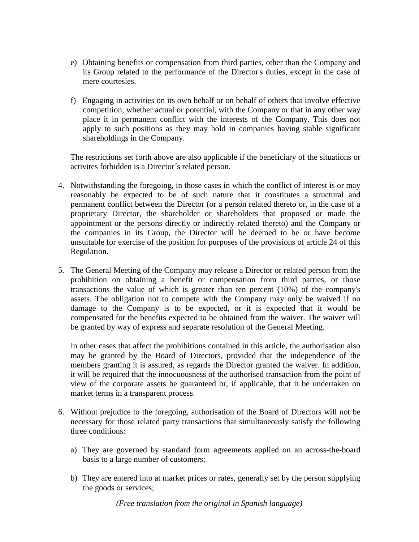- e) Obtaining benefits or compensation from third parties, other than the Company and its Group related to the performance of the Director's duties, except in the case of mere courtesies.
- f) Engaging in activities on its own behalf or on behalf of others that involve effective competition, whether actual or potential, with the Company or that in any other way place it in permanent conflict with the interests of the Company. This does not apply to such positions as they may hold in companies having stable significant shareholdings in the Company.

The restrictions set forth above are also applicable if the beneficiary of the situations or activites forbidden is a Director´s related person.

- 4. Notwithstanding the foregoing, in those cases in which the conflict of interest is or may reasonably be expected to be of such nature that it constitutes a structural and permanent conflict between the Director (or a person related thereto or, in the case of a proprietary Director, the shareholder or shareholders that proposed or made the appointment or the persons directly or indirectly related thereto) and the Company or the companies in its Group, the Director will be deemed to be or have become unsuitable for exercise of the position for purposes of the provisions of article 24 of this Regulation.
- 5. The General Meeting of the Company may release a Director or related person from the prohibition on obtaining a benefit or compensation from third parties, or those transactions the value of which is greater than ten percent (10%) of the company's assets. The obligation not to compete with the Company may only be waived if no damage to the Company is to be expected, or it is expected that it would be compensated for the benefits expected to be obtained from the waiver. The waiver will be granted by way of express and separate resolution of the General Meeting.

In other cases that affect the prohibitions contained in this article, the authorisation also may be granted by the Board of Directors, provided that the independence of the members granting it is assured, as regards the Director granted the waiver. In addition, it will be required that the innocuousness of the authorised transaction from the point of view of the corporate assets be guaranteed or, if applicable, that it be undertaken on market terms in a transparent process.

- 6. Without prejudice to the foregoing, authorisation of the Board of Directors will not be necessary for those related party transactions that simultaneously satisfy the following three conditions:
	- a) They are governed by standard form agreements applied on an across-the-board basis to a large number of customers;
	- b) They are entered into at market prices or rates, generally set by the person supplying the goods or services;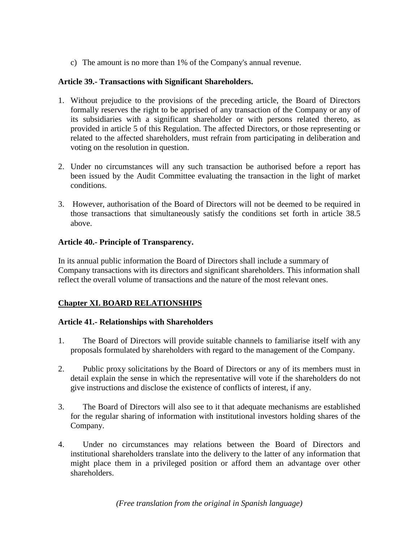c) The amount is no more than 1% of the Company's annual revenue.

### **Article 39.- Transactions with Significant Shareholders.**

- 1. Without prejudice to the provisions of the preceding article, the Board of Directors formally reserves the right to be apprised of any transaction of the Company or any of its subsidiaries with a significant shareholder or with persons related thereto, as provided in article 5 of this Regulation. The affected Directors, or those representing or related to the affected shareholders, must refrain from participating in deliberation and voting on the resolution in question.
- 2. Under no circumstances will any such transaction be authorised before a report has been issued by the Audit Committee evaluating the transaction in the light of market conditions.
- 3. However, authorisation of the Board of Directors will not be deemed to be required in those transactions that simultaneously satisfy the conditions set forth in article 38.5 above.

### **Article 40.- Principle of Transparency.**

In its annual public information the Board of Directors shall include a summary of Company transactions with its directors and significant shareholders. This information shall reflect the overall volume of transactions and the nature of the most relevant ones.

## **Chapter XI. BOARD RELATIONSHIPS**

## **Article 41.- Relationships with Shareholders**

- 1. The Board of Directors will provide suitable channels to familiarise itself with any proposals formulated by shareholders with regard to the management of the Company.
- 2. Public proxy solicitations by the Board of Directors or any of its members must in detail explain the sense in which the representative will vote if the shareholders do not give instructions and disclose the existence of conflicts of interest, if any.
- 3. The Board of Directors will also see to it that adequate mechanisms are established for the regular sharing of information with institutional investors holding shares of the Company.
- 4. Under no circumstances may relations between the Board of Directors and institutional shareholders translate into the delivery to the latter of any information that might place them in a privileged position or afford them an advantage over other shareholders.